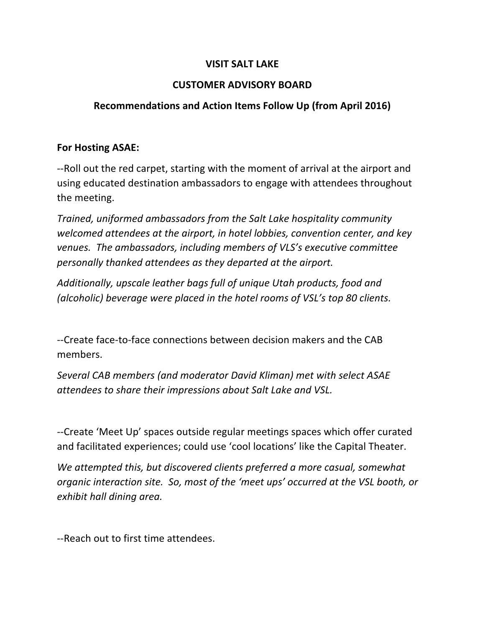## **VISIT SALT LAKE**

# **CUSTOMER ADVISORY BOARD**

# **Recommendations and Action Items Follow Up (from April 2016)**

#### **For Hosting ASAE:**

--Roll out the red carpet, starting with the moment of arrival at the airport and using educated destination ambassadors to engage with attendees throughout the meeting.

*Trained, uniformed ambassadors from the Salt Lake hospitality community welcomed attendees at the airport, in hotel lobbies, convention center, and key venues.* The ambassadors, including members of VLS's executive committee *personally thanked attendees as they departed at the airport.*

Additionally, upscale leather bags full of unique Utah products, food and *(alcoholic)* beverage were placed in the hotel rooms of VSL's top 80 clients.

--Create face-to-face connections between decision makers and the CAB members.

Several CAB members (and moderator David Kliman) met with select ASAE attendees to share their impressions about Salt Lake and VSL.

--Create 'Meet Up' spaces outside regular meetings spaces which offer curated and facilitated experiences; could use 'cool locations' like the Capital Theater.

We attempted this, but discovered clients preferred a more casual, somewhat *organic interaction site. So, most of the 'meet ups' occurred at the VSL booth, or exhibit hall dining area.* 

--Reach out to first time attendees.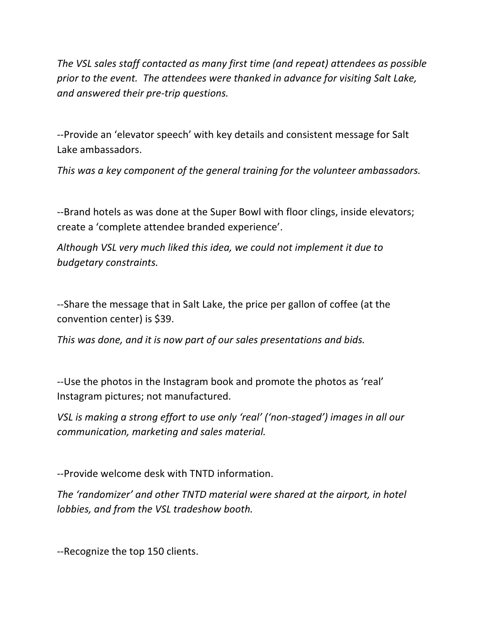The VSL sales staff contacted as many first time (and repeat) attendees as possible prior to the event. The attendees were thanked in advance for visiting Salt Lake, *and answered their pre-trip questions.*

--Provide an 'elevator speech' with key details and consistent message for Salt Lake ambassadors.

*This* was a key component of the general training for the volunteer ambassadors.

--Brand hotels as was done at the Super Bowl with floor clings, inside elevators; create a 'complete attendee branded experience'.

*Although VSL very much liked this idea, we could not implement it due to budgetary constraints.*

--Share the message that in Salt Lake, the price per gallon of coffee (at the convention center) is \$39. 

*This* was done, and it is now part of our sales presentations and bids.

--Use the photos in the Instagram book and promote the photos as 'real' Instagram pictures; not manufactured.

*VSL* is making a strong effort to use only 'real' ('non-staged') images in all our *communication, marketing and sales material.* 

--Provide welcome desk with TNTD information.

*The 'randomizer' and other TNTD material were shared at the airport, in hotel lobbies, and from the VSL tradeshow booth.* 

--Recognize the top 150 clients.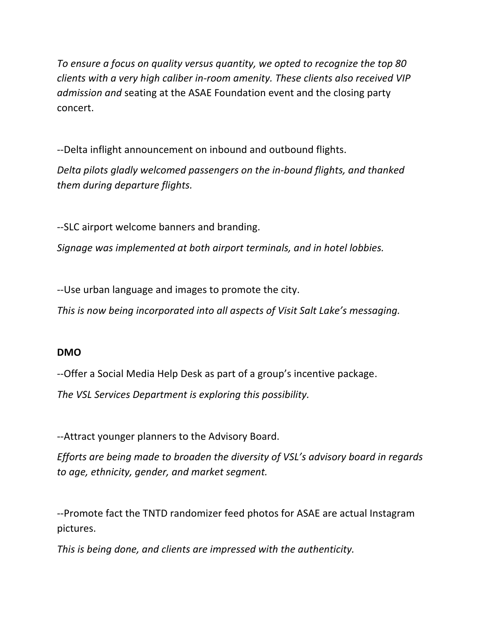To ensure a focus on quality versus quantity, we opted to recognize the top 80 *clients* with a very high caliber in-room amenity. These clients also received VIP *ddmission and* seating at the ASAE Foundation event and the closing party concert.

--Delta inflight announcement on inbound and outbound flights.

*Delta pilots gladly welcomed passengers on the in-bound flights, and thanked them during departure flights.*

--SLC airport welcome banners and branding.

*Signage* was implemented at both airport terminals, and in hotel lobbies.

--Use urban language and images to promote the city.

*This is now being incorporated into all aspects of Visit Salt Lake's messaging.* 

## **DMO**

--Offer a Social Media Help Desk as part of a group's incentive package.

The VSL Services Department is exploring this possibility.

--Attract younger planners to the Advisory Board.

*Efforts are being made to broaden the diversity of VSL's advisory board in regards* to age, ethnicity, gender, and market segment.

--Promote fact the TNTD randomizer feed photos for ASAE are actual Instagram pictures. 

*This is being done, and clients are impressed with the authenticity.*